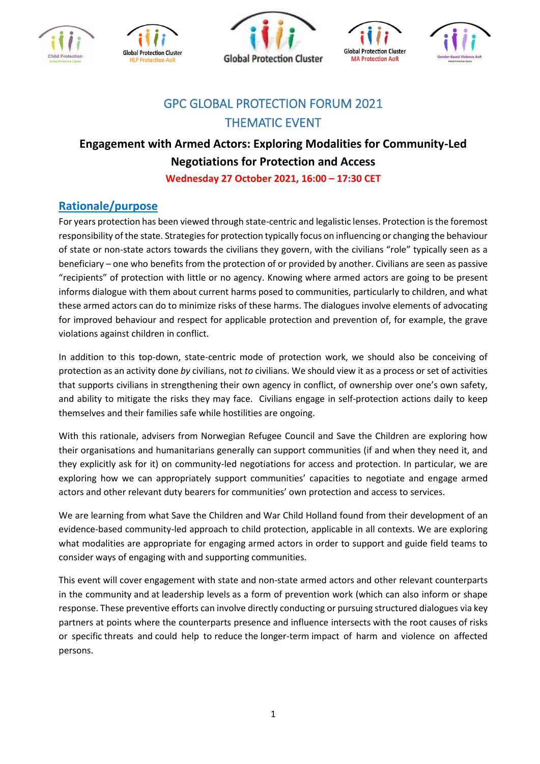









# GPC GLOBAL PROTECTION FORUM 2021 THEMATIC EVENT

# **Engagement with Armed Actors: Exploring Modalities for Community-Led Negotiations for Protection and Access**

**Wednesday 27 October 2021, 16:00 – 17:30 CET**

## **Rationale/purpose**

For years protection has been viewed through state-centric and legalistic lenses. Protection is the foremost responsibility of the state. Strategies for protection typically focus on influencing or changing the behaviour of state or non-state actors towards the civilians they govern, with the civilians "role" typically seen as a beneficiary – one who benefits from the protection of or provided by another. Civilians are seen as passive "recipients" of protection with little or no agency. Knowing where armed actors are going to be present informs dialogue with them about current harms posed to communities, particularly to children, and what these armed actors can do to minimize risks of these harms. The dialogues involve elements of advocating for improved behaviour and respect for applicable protection and prevention of, for example, the grave violations against children in conflict.

In addition to this top-down, state-centric mode of protection work, we should also be conceiving of protection as an activity done *by* civilians, not *to* civilians. We should view it as a process or set of activities that supports civilians in strengthening their own agency in conflict, of ownership over one's own safety, and ability to mitigate the risks they may face. Civilians engage in self-protection actions daily to keep themselves and their families safe while hostilities are ongoing.

With this rationale, advisers from Norwegian Refugee Council and Save the Children are exploring how their organisations and humanitarians generally can support communities (if and when they need it, and they explicitly ask for it) on community-led negotiations for access and protection. In particular, we are exploring how we can appropriately support communities' capacities to negotiate and engage armed actors and other relevant duty bearers for communities' own protection and access to services.

We are learning from what Save the Children and War Child Holland found from their development of an evidence-based community-led approach to child protection, applicable in all contexts. We are exploring what modalities are appropriate for engaging armed actors in order to support and guide field teams to consider ways of engaging with and supporting communities.

This event will cover engagement with state and non-state armed actors and other relevant counterparts in the community and at leadership levels as a form of prevention work (which can also inform or shape response. These preventive efforts can involve directly conducting or pursuing structured dialogues via key partners at points where the counterparts presence and influence intersects with the root causes of risks or specific threats and could help to reduce the longer-term impact of harm and violence on affected persons.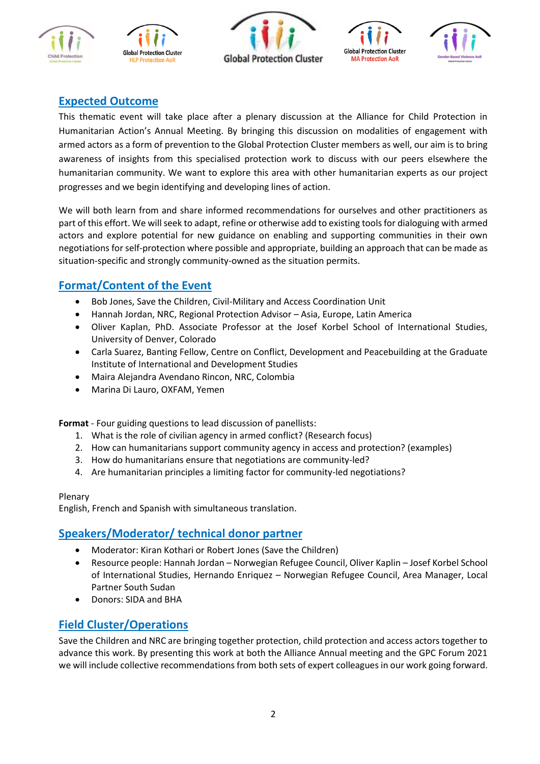









### **Expected Outcome**

This thematic event will take place after a plenary discussion at the Alliance for Child Protection in Humanitarian Action's Annual Meeting. By bringing this discussion on modalities of engagement with armed actors as a form of prevention to the Global Protection Cluster members as well, our aim is to bring awareness of insights from this specialised protection work to discuss with our peers elsewhere the humanitarian community. We want to explore this area with other humanitarian experts as our project progresses and we begin identifying and developing lines of action.

We will both learn from and share informed recommendations for ourselves and other practitioners as part of this effort. We will seek to adapt, refine or otherwise add to existing tools for dialoguing with armed actors and explore potential for new guidance on enabling and supporting communities in their own negotiations for self-protection where possible and appropriate, building an approach that can be made as situation-specific and strongly community-owned as the situation permits.

## **Format/Content of the Event**

- Bob Jones, Save the Children, Civil-Military and Access Coordination Unit
- Hannah Jordan, NRC, Regional Protection Advisor Asia, Europe, Latin America
- Oliver Kaplan, PhD. Associate Professor at the Josef Korbel School of International Studies, University of Denver, Colorado
- Carla Suarez, Banting Fellow, Centre on Conflict, Development and Peacebuilding at the Graduate Institute of International and Development Studies
- Maira Alejandra Avendano Rincon, NRC, Colombia
- Marina Di Lauro, OXFAM, Yemen

**Format** - Four guiding questions to lead discussion of panellists:

- 1. What is the role of civilian agency in armed conflict? (Research focus)
- 2. How can humanitarians support community agency in access and protection? (examples)
- 3. How do humanitarians ensure that negotiations are community-led?
- 4. Are humanitarian principles a limiting factor for community-led negotiations?

#### Plenary

English, French and Spanish with simultaneous translation.

#### **Speakers/Moderator/ technical donor partner**

- Moderator: Kiran Kothari or Robert Jones (Save the Children)
- Resource people: Hannah Jordan Norwegian Refugee Council, Oliver Kaplin Josef Korbel School of International Studies, Hernando Enriquez – Norwegian Refugee Council, Area Manager, Local Partner South Sudan
- Donors: SIDA and BHA

### **Field Cluster/Operations**

Save the Children and NRC are bringing together protection, child protection and access actors together to advance this work. By presenting this work at both the Alliance Annual meeting and the GPC Forum 2021 we will include collective recommendations from both sets of expert colleagues in our work going forward.